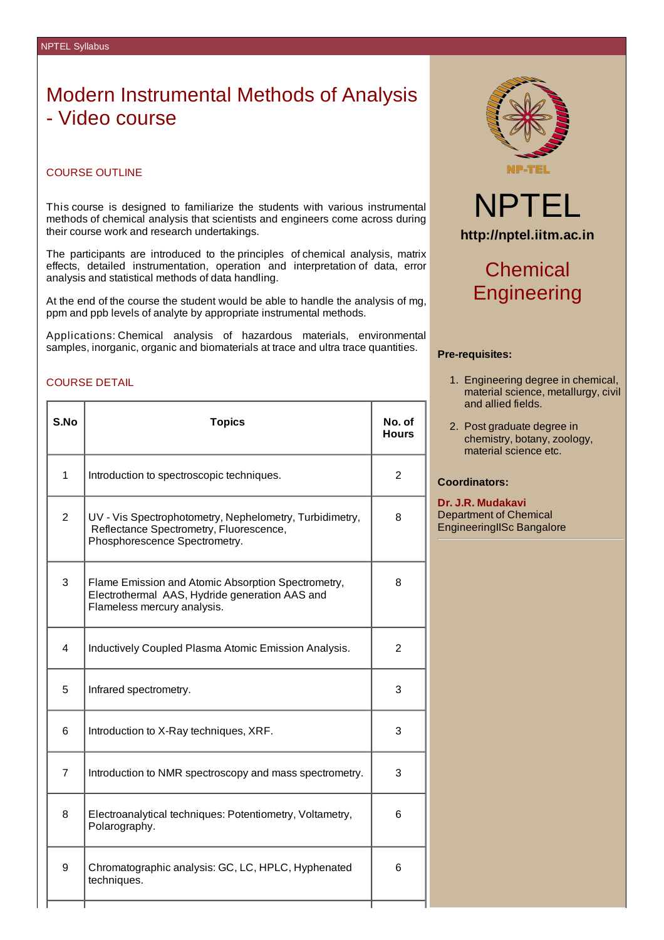# Modern Instrumental Methods of Analysis - Video course

## COURSE OUTLINE

This course is designed to familiarize the students with various instrumental methods of chemical analysis that scientists and engineers come across during their course work and research undertakings.

The participants are introduced to the principles of chemical analysis, matrix effects, detailed instrumentation, operation and interpretation of data, error analysis and statistical methods of data handling.

At the end of the course the student would be able to handle the analysis of mg, ppm and ppb levels of analyte by appropriate instrumental methods.

Applications: Chemical analysis of hazardous materials, environmental samples, inorganic, organic and biomaterials at trace and ultra trace quantities.

### COURSE DETAIL

| S.No           | <b>Topics</b>                                                                                                                       | No. of<br>Hours |  |
|----------------|-------------------------------------------------------------------------------------------------------------------------------------|-----------------|--|
| $\mathbf{1}$   | Introduction to spectroscopic techniques.                                                                                           |                 |  |
| $\overline{2}$ | UV - Vis Spectrophotometry, Nephelometry, Turbidimetry,<br>Reflectance Spectrometry, Fluorescence,<br>Phosphorescence Spectrometry. |                 |  |
| 3              | Flame Emission and Atomic Absorption Spectrometry,<br>Electrothermal AAS, Hydride generation AAS and<br>Flameless mercury analysis. |                 |  |
| 4              | Inductively Coupled Plasma Atomic Emission Analysis.                                                                                |                 |  |
| 5              | Infrared spectrometry.                                                                                                              |                 |  |
| 6              | Introduction to X-Ray techniques, XRF.                                                                                              |                 |  |
| 7              | Introduction to NMR spectroscopy and mass spectrometry.                                                                             | 3               |  |
| 8              | Electroanalytical techniques: Potentiometry, Voltametry,<br>Polarography.                                                           | 6               |  |
| 9              | Chromatographic analysis: GC, LC, HPLC, Hyphenated<br>techniques.                                                                   |                 |  |



# NPTEL **http://nptel.iitm.ac.in**

# **Chemical Engineering**

#### **Pre-requisites:**

- 1. Engineering degree in chemical, material science, metallurgy, civil and allied fields.
- 2. Post graduate degree in chemistry, botany, zoology, material science etc.

## **Coordinators:**

**Dr. J.R. Mudakavi** Department of Chemical EngineeringIISc Bangalore